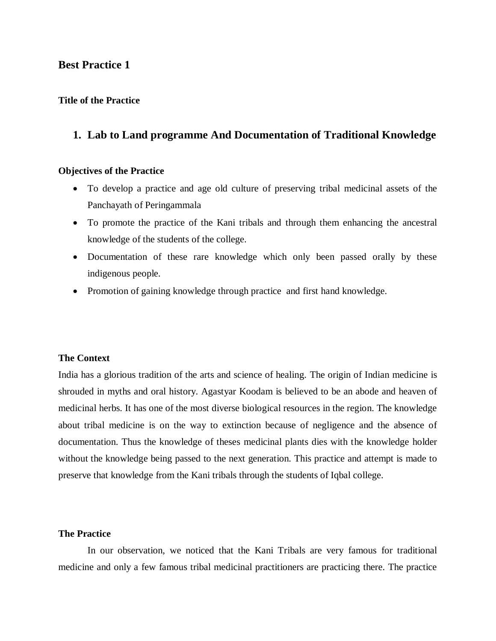## **Best Practice 1**

### **Title of the Practice**

# **1. Lab to Land programme And Documentation of Traditional Knowledge**

#### **Objectives of the Practice**

- To develop a practice and age old culture of preserving tribal medicinal assets of the Panchayath of Peringammala
- To promote the practice of the Kani tribals and through them enhancing the ancestral knowledge of the students of the college.
- Documentation of these rare knowledge which only been passed orally by these indigenous people.
- Promotion of gaining knowledge through practice and first hand knowledge.

#### **The Context**

India has a glorious tradition of the arts and science of healing. The origin of Indian medicine is shrouded in myths and oral history. Agastyar Koodam is believed to be an abode and heaven of medicinal herbs. It has one of the most diverse biological resources in the region. The knowledge about tribal medicine is on the way to extinction because of negligence and the absence of documentation. Thus the knowledge of theses medicinal plants dies with the knowledge holder without the knowledge being passed to the next generation. This practice and attempt is made to preserve that knowledge from the Kani tribals through the students of Iqbal college.

### **The Practice**

In our observation, we noticed that the Kani Tribals are very famous for traditional medicine and only a few famous tribal medicinal practitioners are practicing there. The practice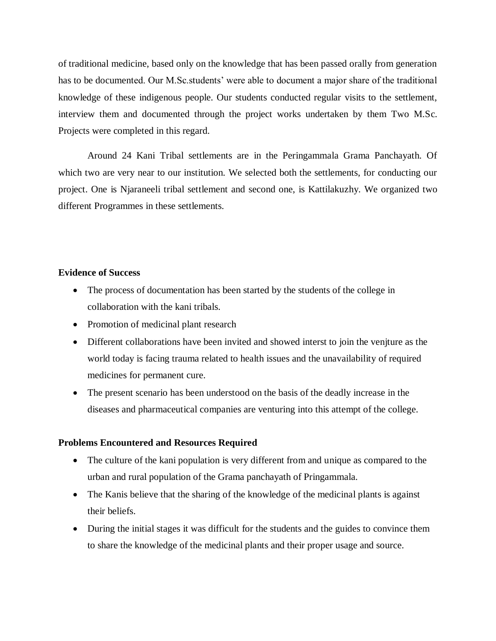of traditional medicine, based only on the knowledge that has been passed orally from generation has to be documented. Our M.Sc.students' were able to document a major share of the traditional knowledge of these indigenous people. Our students conducted regular visits to the settlement, interview them and documented through the project works undertaken by them Two M.Sc. Projects were completed in this regard.

Around 24 Kani Tribal settlements are in the Peringammala Grama Panchayath. Of which two are very near to our institution. We selected both the settlements, for conducting our project. One is Njaraneeli tribal settlement and second one, is Kattilakuzhy. We organized two different Programmes in these settlements.

#### **Evidence of Success**

- The process of documentation has been started by the students of the college in collaboration with the kani tribals.
- Promotion of medicinal plant research
- Different collaborations have been invited and showed interst to join the venjture as the world today is facing trauma related to health issues and the unavailability of required medicines for permanent cure.
- The present scenario has been understood on the basis of the deadly increase in the diseases and pharmaceutical companies are venturing into this attempt of the college.

### **Problems Encountered and Resources Required**

- The culture of the kani population is very different from and unique as compared to the urban and rural population of the Grama panchayath of Pringammala.
- The Kanis believe that the sharing of the knowledge of the medicinal plants is against their beliefs.
- During the initial stages it was difficult for the students and the guides to convince them to share the knowledge of the medicinal plants and their proper usage and source.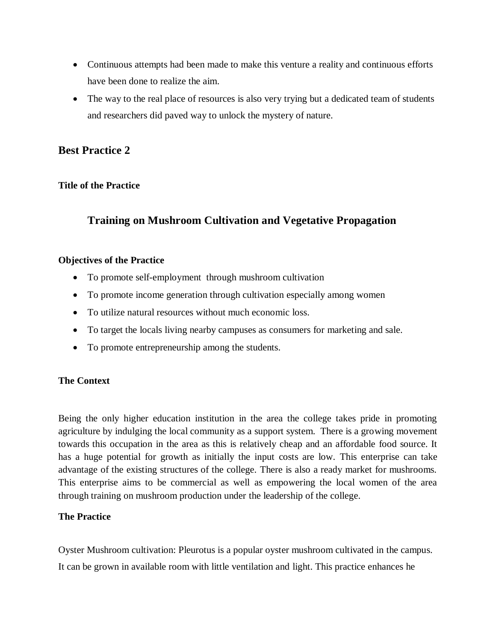- Continuous attempts had been made to make this venture a reality and continuous efforts have been done to realize the aim.
- The way to the real place of resources is also very trying but a dedicated team of students and researchers did paved way to unlock the mystery of nature.

# **Best Practice 2**

## **Title of the Practice**

# **Training on Mushroom Cultivation and Vegetative Propagation**

## **Objectives of the Practice**

- To promote self-employment through mushroom cultivation
- To promote income generation through cultivation especially among women
- To utilize natural resources without much economic loss.
- To target the locals living nearby campuses as consumers for marketing and sale.
- To promote entrepreneurship among the students.

## **The Context**

Being the only higher education institution in the area the college takes pride in promoting agriculture by indulging the local community as a support system. There is a growing movement towards this occupation in the area as this is relatively cheap and an affordable food source. It has a huge potential for growth as initially the input costs are low. This enterprise can take advantage of the existing structures of the college. There is also a ready market for mushrooms. This enterprise aims to be commercial as well as empowering the local women of the area through training on mushroom production under the leadership of the college.

## **The Practice**

Oyster Mushroom cultivation: Pleurotus is a popular oyster mushroom cultivated in the campus.

It can be grown in available room with little ventilation and light. This practice enhances he